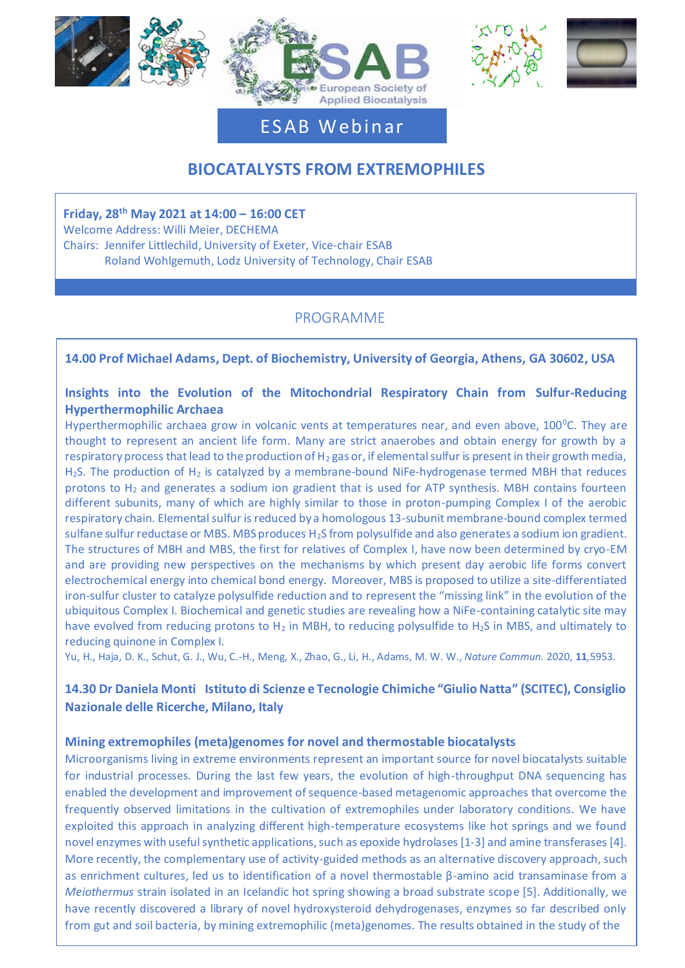





# ESAB Webinar

# **BIOCATALYSTS FROM EXTREMOPHILES**

**Friday, 28th May 2021 at 14:00 – 16:00 CET** Welcome Address: Willi Meier, DECHEMA Chairs: Jennifer Littlechild, University of Exeter, Vice-chair ESAB Roland Wohlgemuth, Lodz University of Technology, Chair ESAB

# PROGRAMME

## **14.00 Prof Michael Adams, Dept. of Biochemistry, University of Georgia, Athens, GA 30602, USA**

## **Insights into the Evolution of the Mitochondrial Respiratory Chain from Sulfur-Reducing Hyperthermophilic Archaea**

Hyperthermophilic archaea grow in volcanic vents at temperatures near, and even above, 100<sup>o</sup>C. They are thought to represent an ancient life form. Many are strict anaerobes and obtain energy for growth by a respiratory process that lead to the production of  $H_2$  gas or, if elemental sulfur is present in their growth media, H<sub>2</sub>S. The production of H<sub>2</sub> is catalyzed by a membrane-bound NiFe-hydrogenase termed MBH that reduces protons to  $H_2$  and generates a sodium ion gradient that is used for ATP synthesis. MBH contains fourteen different subunits, many of which are highly similar to those in proton-pumping Complex I of the aerobic respiratory chain. Elemental sulfur is reduced by a homologous 13-subunit membrane-bound complex termed sulfane sulfur reductase or MBS. MBS produces H<sub>2</sub>S from polysulfide and also generates a sodium ion gradient. The structures of MBH and MBS, the first for relatives of Complex I, have now been determined by cryo-EM and are providing new perspectives on the mechanisms by which present day aerobic life forms convert electrochemical energy into chemical bond energy. Moreover, MBS is proposed to utilize a site-differentiated iron-sulfur cluster to catalyze polysulfide reduction and to represent the "missing link" in the evolution of the ubiquitous Complex I. Biochemical and genetic studies are revealing how a NiFe-containing catalytic site may have evolved from reducing protons to H<sub>2</sub> in MBH, to reducing polysulfide to H<sub>2</sub>S in MBS, and ultimately to reducing quinone in Complex I.

Yu, H., Haja, D. K., Schut, G. J., Wu, C.-H., Meng, X., Zhao, G., Li, H., Adams, M. W. W., *Nature Commun.* 2020, **11***,*5953.

# **14.30 Dr Daniela Monti** - **Istituto di Scienze e Tecnologie Chimiche "Giulio Natta" (SCITEC), Consiglio Nazionale delle Ricerche, Milano, Italy**

## **Mining extremophiles (meta)genomes for novel and thermostable biocatalysts**

Microorganisms living in extreme environments represent an important source for novel biocatalysts suitable for industrial processes. During the last few years, the evolution of high-throughput DNA sequencing has enabled the development and improvement of sequence-based metagenomic approaches that overcome the frequently observed limitations in the cultivation of extremophiles under laboratory conditions. We have exploited this approach in analyzing different high-temperature ecosystems like hot springs and we found novel enzymes with useful synthetic applications, such as epoxide hydrolases [1-3] and amine transferases [4]. More recently, the complementary use of activity-guided methods as an alternative discovery approach, such as enrichment cultures, led us to identification of a novel thermostable β-amino acid transaminase from a *Meiothermus* strain isolated in an Icelandic hot spring showing a broad substrate scope [5]. Additionally, we have recently discovered a library of novel hydroxysteroid dehydrogenases, enzymes so far described only from gut and soil bacteria, by mining extremophilic (meta)genomes. The results obtained in the study of the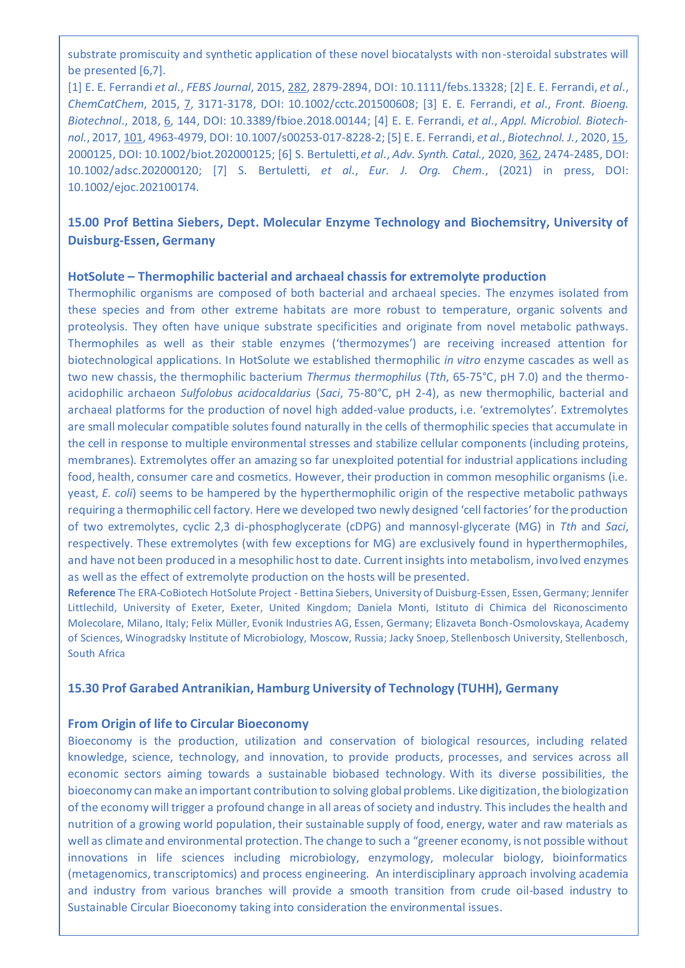substrate promiscuity and synthetic application of these novel biocatalysts with non-steroidal substrates will be presented [6,7].

[1] E. E. Ferrandi *et al*., *FEBS Journal*, 2015, 282, 2879-2894, DOI: 10.1111/febs.13328; [2] E. E. Ferrandi, *et al*., *ChemCatChem*, 2015, 7, 3171-3178, DOI: 10.1002/cctc.201500608; [3] E. E. Ferrandi, *et al*., *Front. Bioeng. Biotechnol*., 2018, 6, 144, DOI: 10.3389/fbioe.2018.00144; [4] E. E. Ferrandi, *et al*., *Appl. Microbiol. Biotechnol.*, 2017, 101, 4963-4979, DOI: 10.1007/s00253-017-8228-2; [5] E. E. Ferrandi, *et al*., *Biotechnol. J.*, 2020, 15, 2000125, DOI: 10.1002/biot.202000125; [6] S. Bertuletti, *et al*., *Adv. Synth. Catal.,* 2020, 362, 2474-2485, DOI: 10.1002/adsc.202000120; [7] S. Bertuletti, *et al*., *Eur. J. Org. Chem*., (2021) in press, DOI: 10.1002/ejoc.202100174.

# **15.00 Prof Bettina Siebers, Dept. Molecular Enzyme Technology and Biochemsitry, University of Duisburg-Essen, Germany**

#### **HotSolute – Thermophilic bacterial and archaeal chassis for extremolyte production**

Thermophilic organisms are composed of both bacterial and archaeal species. The enzymes isolated from these species and from other extreme habitats are more robust to temperature, organic solvents and proteolysis. They often have unique substrate specificities and originate from novel metabolic pathways. Thermophiles as well as their stable enzymes ('thermozymes') are receiving increased attention for biotechnological applications. In HotSolute we established thermophilic *in vitro* enzyme cascades as well as two new chassis, the thermophilic bacterium *Thermus thermophilus* (*Tth*, 65-75°C, pH 7.0) and the thermoacidophilic archaeon *Sulfolobus acidocaldarius* (*Saci*, 75-80°C, pH 2-4), as new thermophilic, bacterial and archaeal platforms for the production of novel high added-value products, i.e. 'extremolytes'. Extremolytes are small molecular compatible solutes found naturally in the cells of thermophilic species that accumulate in the cell in response to multiple environmental stresses and stabilize cellular components (including proteins, membranes). Extremolytes offer an amazing so far unexploited potential for industrial applications including food, health, consumer care and cosmetics. However, their production in common mesophilic organisms (i.e. yeast, *E. coli*) seems to be hampered by the hyperthermophilic origin of the respective metabolic pathways requiring a thermophilic cell factory. Here we developed two newly designed 'cell factories' for the production of two extremolytes, cyclic 2,3 di-phosphoglycerate (cDPG) and mannosyl-glycerate (MG) in *Tth* and *Saci*, respectively. These extremolytes (with few exceptions for MG) are exclusively found in hyperthermophiles, and have not been produced in a mesophilic host to date. Current insights into metabolism, involved enzymes as well as the effect of extremolyte production on the hosts will be presented.

**Reference** The ERA-CoBiotech HotSolute Project - Bettina Siebers, University of Duisburg-Essen, Essen, Germany; Jennifer Littlechild, University of Exeter, Exeter, United Kingdom; Daniela Monti, Istituto di Chimica del Riconoscimento Molecolare, Milano, Italy; Felix Müller, Evonik Industries AG, Essen, Germany; Elizaveta Bonch-Osmolovskaya, Academy of Sciences, Winogradsky Institute of Microbiology, Moscow, Russia; Jacky Snoep, Stellenbosch University, Stellenbosch, South Africa

#### **15.30 Prof Garabed Antranikian, Hamburg University of Technology (TUHH), Germany**

#### **From Origin of life to Circular Bioeconomy**

Bioeconomy is the production, utilization and conservation of biological resources, including related knowledge, science, technology, and innovation, to provide products, processes, and services across all economic sectors aiming towards a sustainable biobased technology. With its diverse possibilities, the bioeconomy can make an important contribution to solving global problems. Like digitization, the biologization of the economy will trigger a profound change in all areas of society and industry. This includes the health and nutrition of a growing world population, their sustainable supply of food, energy, water and raw materials as well as climate and environmental protection. The change to such a "greener economy, is not possible without innovations in life sciences including microbiology, enzymology, molecular biology, bioinformatics (metagenomics, transcriptomics) and process engineering. An interdisciplinary approach involving academia and industry from various branches will provide a smooth transition from crude oil-based industry to Sustainable Circular Bioeconomy taking into consideration the environmental issues.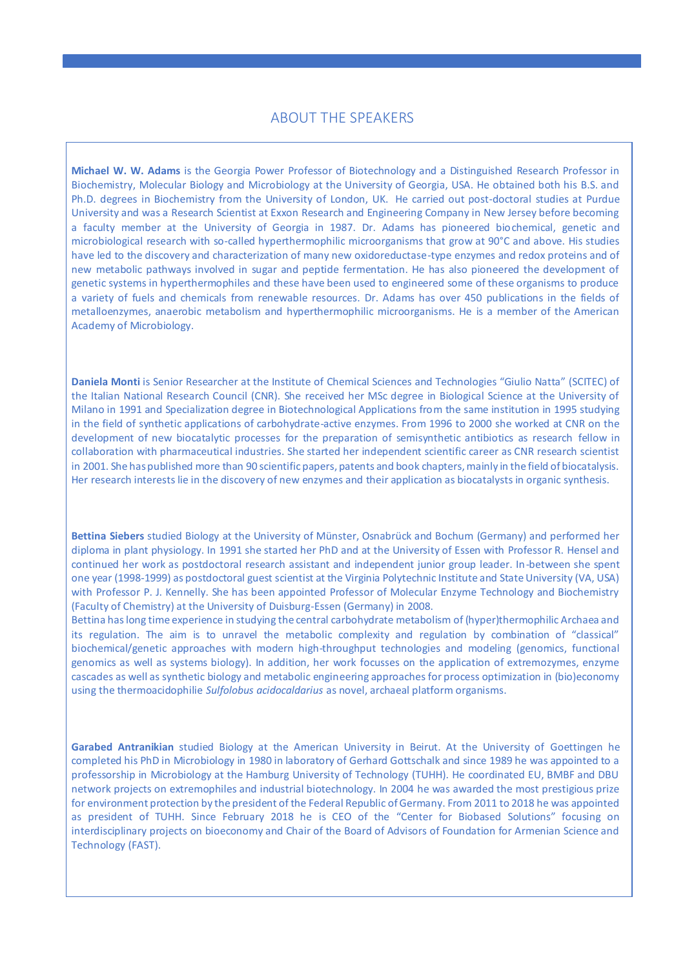## ABOUT THE SPEAKERS

**Michael W. W. Adams** is the Georgia Power Professor of Biotechnology and a Distinguished Research Professor in Biochemistry, Molecular Biology and Microbiology at the University of Georgia, USA. He obtained both his B.S. and Ph.D. degrees in Biochemistry from the University of London, UK. He carried out post-doctoral studies at Purdue University and was a Research Scientist at Exxon Research and Engineering Company in New Jersey before becoming a faculty member at the University of Georgia in 1987. Dr. Adams has pioneered biochemical, genetic and microbiological research with so-called hyperthermophilic microorganisms that grow at 90°C and above. His studies have led to the discovery and characterization of many new oxidoreductase-type enzymes and redox proteins and of new metabolic pathways involved in sugar and peptide fermentation. He has also pioneered the development of genetic systems in hyperthermophiles and these have been used to engineered some of these organisms to produce a variety of fuels and chemicals from renewable resources. Dr. Adams has over 450 publications in the fields of metalloenzymes, anaerobic metabolism and hyperthermophilic microorganisms. He is a member of the American Academy of Microbiology.

**Daniela Monti** is Senior Researcher at the Institute of Chemical Sciences and Technologies "Giulio Natta" (SCITEC) of Milano in 1991 and Specialization degree in Biotechnological Applications from the same institution in 1995 studying the Italian National Research Council (CNR). She received her MSc degree in Biological Science at the University of in the field of synthetic applications of carbohydrate-active enzymes. From 1996 to 2000 she worked at CNR on the development of new biocatalytic processes for the preparation of semisynthetic antibiotics as research fellow in collaboration with pharmaceutical industries. She started her independent scientific career as CNR research scientist in 2001. She has published more than 90 scientific papers, patents and book chapters, mainly in the field of biocatalysis. Her research interests lie in the discovery of new enzymes and their application as biocatalysts in organic synthesis.

**Bettina Siebers** studied Biology at the University of Münster, Osnabrück and Bochum (Germany) and performed her diploma in plant physiology. In 1991 she started her PhD and at the University of Essen with Professor R. Hensel and continued her work as postdoctoral research assistant and independent junior group leader. In-between she spent one year (1998-1999) as postdoctoral guest scientist at the Virginia Polytechnic Institute and State University (VA, USA) with Professor P. J. Kennelly. She has been appointed Professor of Molecular Enzyme Technology and Biochemistry (Faculty of Chemistry) at the University of Duisburg-Essen (Germany) in 2008.

Bettina has long time experience in studying the central carbohydrate metabolism of (hyper)thermophilic Archaea and its regulation. The aim is to unravel the metabolic complexity and regulation by combination of "classical" biochemical/genetic approaches with modern high-throughput technologies and modeling (genomics, functional genomics as well as systems biology). In addition, her work focusses on the application of extremozymes, enzyme cascades as well as synthetic biology and metabolic engineering approaches for process optimization in (bio)economy using the thermoacidophilie *Sulfolobus acidocaldarius* as novel, archaeal platform organisms.

**Garabed Antranikian** studied Biology at the American University in Beirut. At the University of Goettingen he completed his PhD in Microbiology in 1980 in laboratory of Gerhard Gottschalk and since 1989 he was appointed to a professorship in Microbiology at the Hamburg University of Technology (TUHH). He coordinated EU, BMBF and DBU network projects on extremophiles and industrial biotechnology. In 2004 he was awarded the most prestigious prize for environment protection by the president of the Federal Republic of Germany. From 2011 to 2018 he was appointed as president of TUHH. Since February 2018 he is CEO of the "Center for Biobased Solutions" focusing on interdisciplinary projects on bioeconomy and Chair of the Board of Advisors of Foundation for Armenian Science and Technology (FAST).